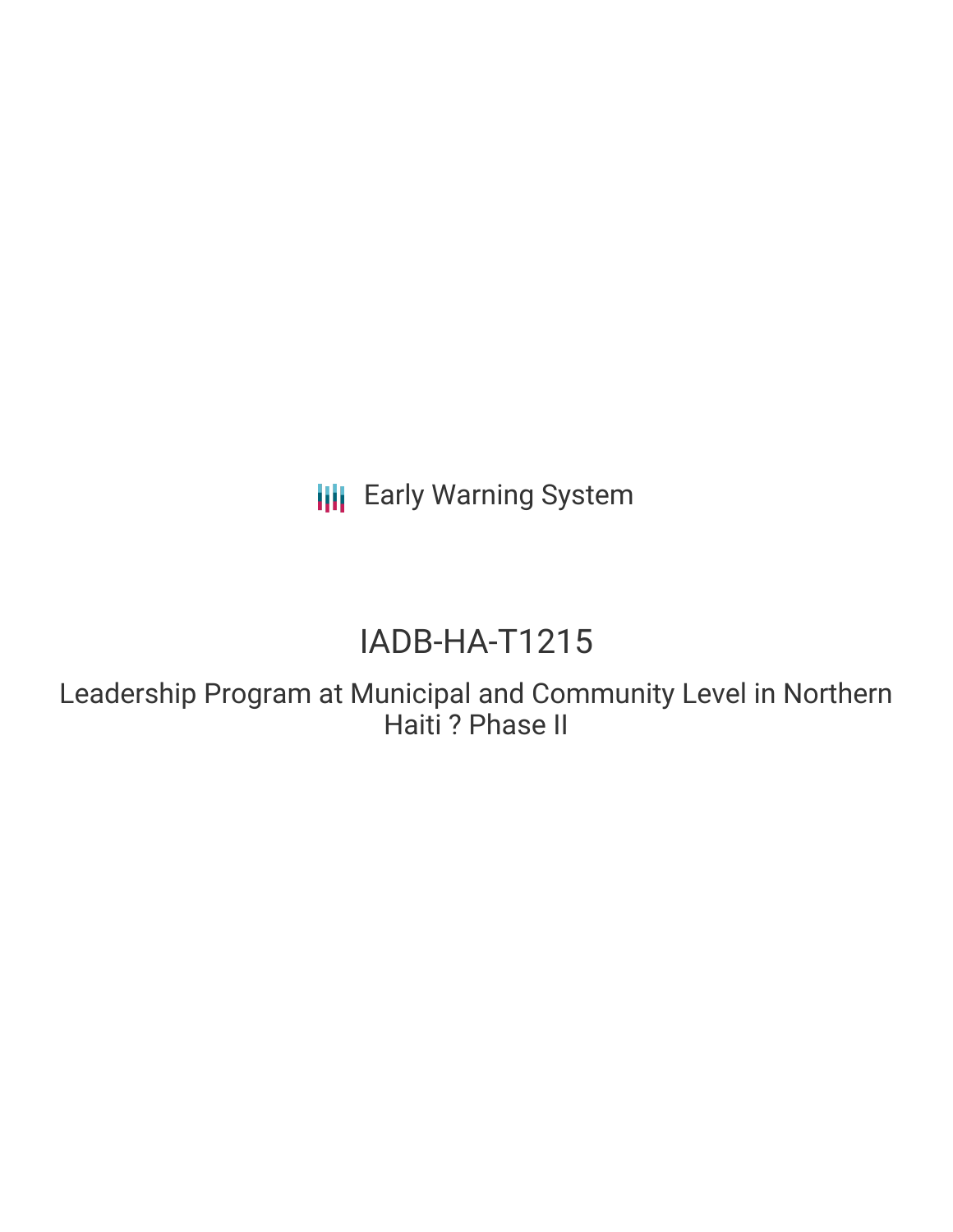**III** Early Warning System

# IADB-HA-T1215

Leadership Program at Municipal and Community Level in Northern Haiti ? Phase II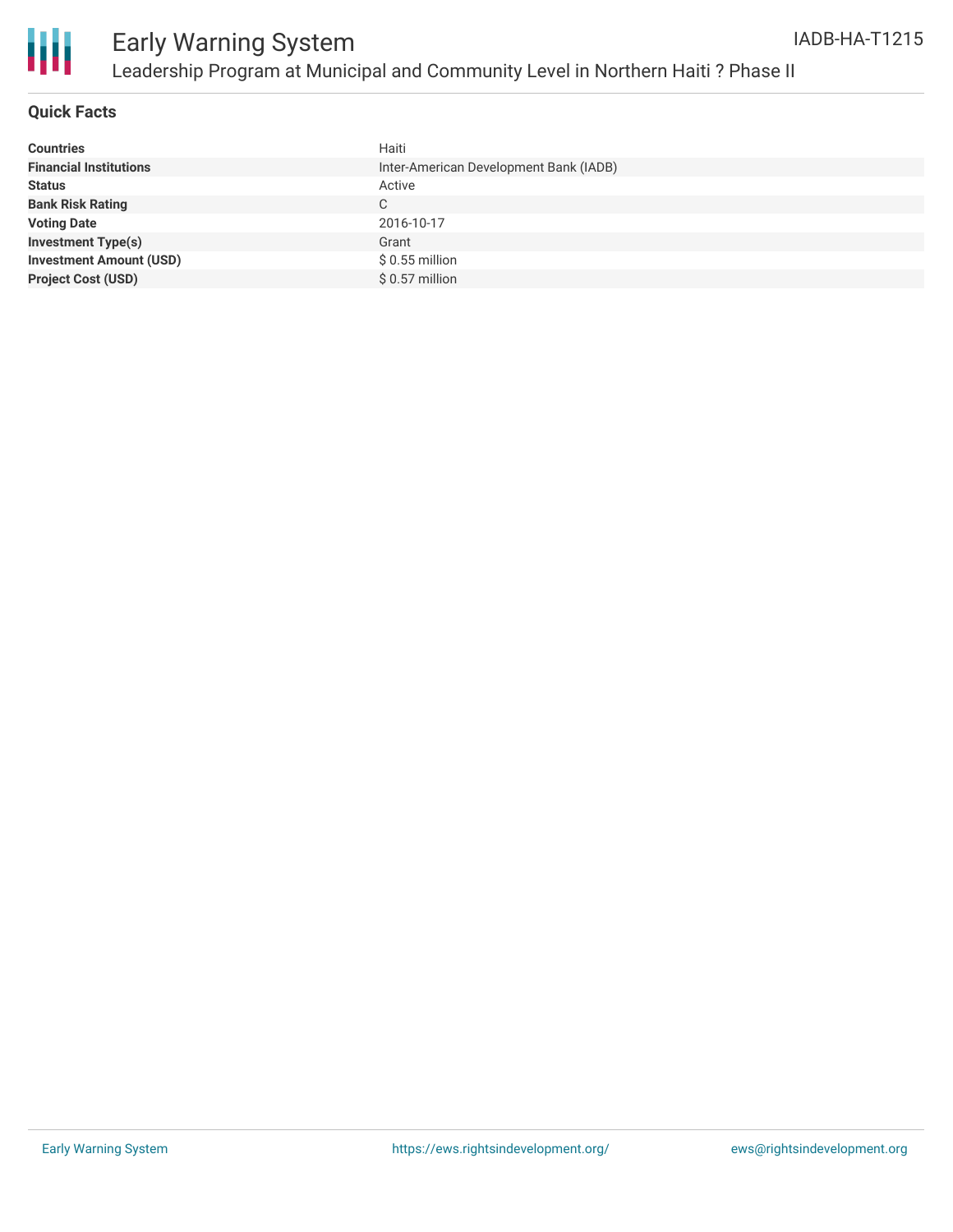



#### **Quick Facts**

| <b>Countries</b>               | Haiti                                  |
|--------------------------------|----------------------------------------|
| <b>Financial Institutions</b>  | Inter-American Development Bank (IADB) |
| <b>Status</b>                  | Active                                 |
| <b>Bank Risk Rating</b>        | C                                      |
| <b>Voting Date</b>             | 2016-10-17                             |
| <b>Investment Type(s)</b>      | Grant                                  |
| <b>Investment Amount (USD)</b> | $$0.55$ million                        |
| <b>Project Cost (USD)</b>      | $$0.57$ million                        |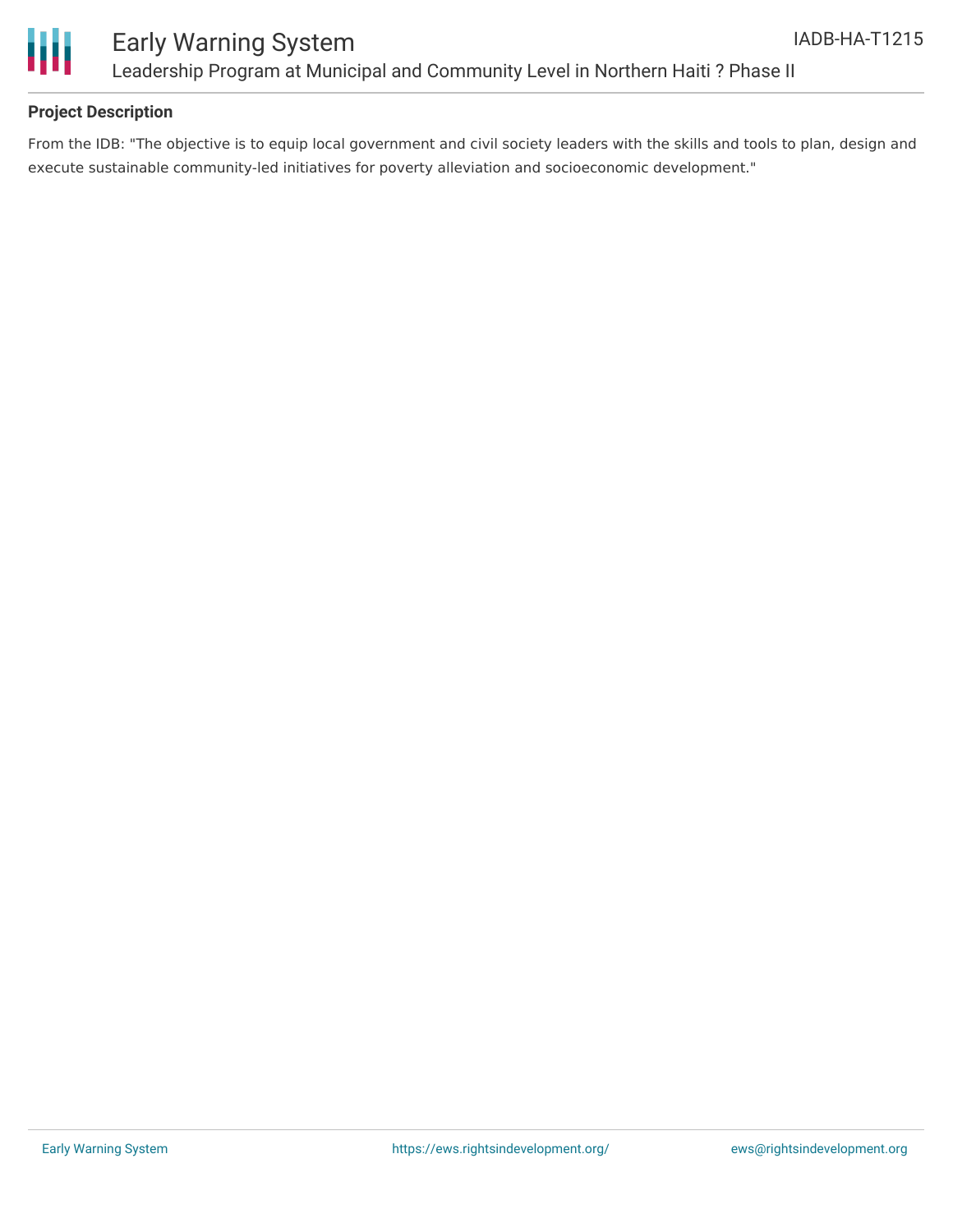

# Early Warning System Leadership Program at Municipal and Community Level in Northern Haiti ? Phase II

### **Project Description**

From the IDB: "The objective is to equip local government and civil society leaders with the skills and tools to plan, design and execute sustainable community-led initiatives for poverty alleviation and socioeconomic development."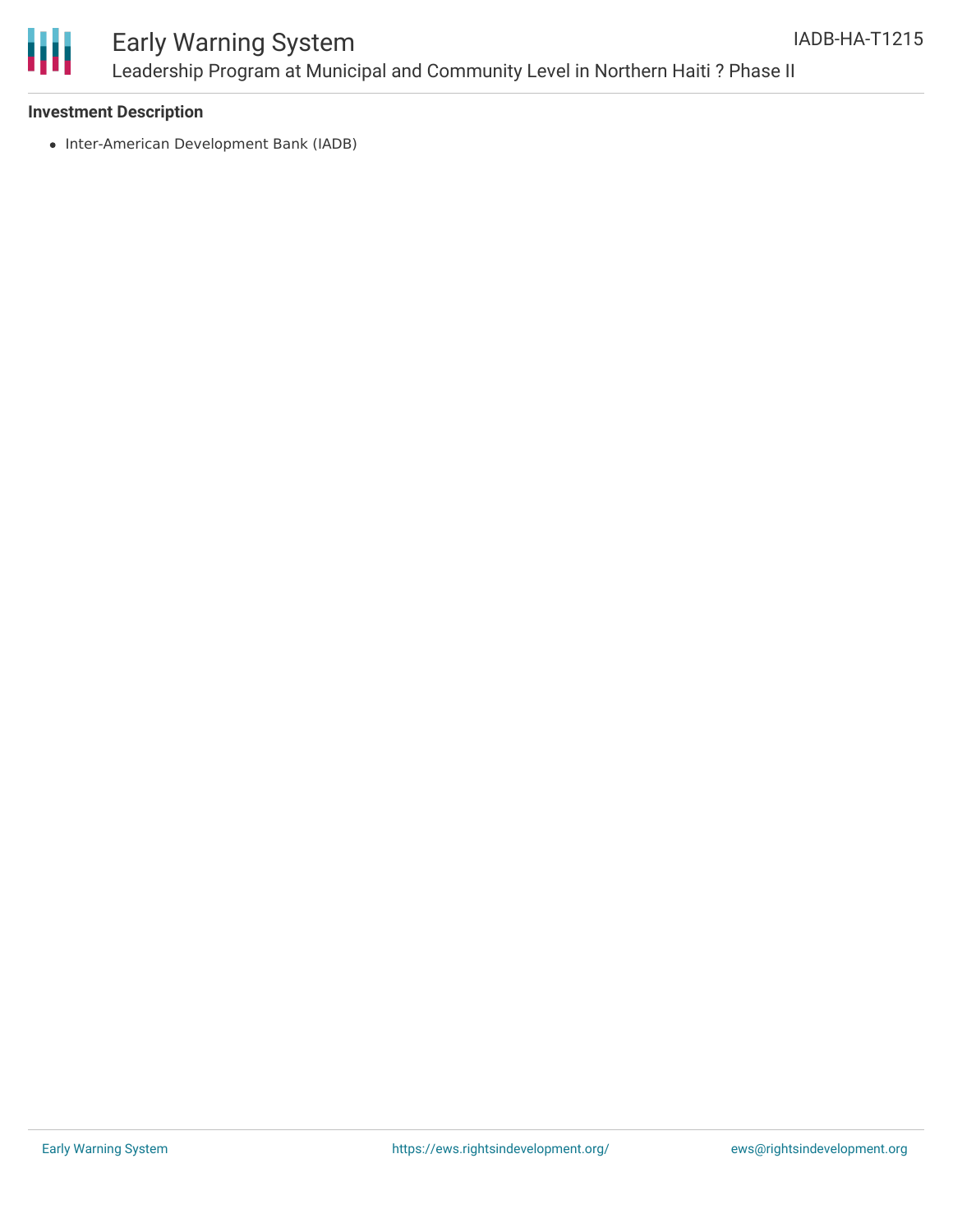

# Early Warning System Leadership Program at Municipal and Community Level in Northern Haiti ? Phase II

#### **Investment Description**

• Inter-American Development Bank (IADB)